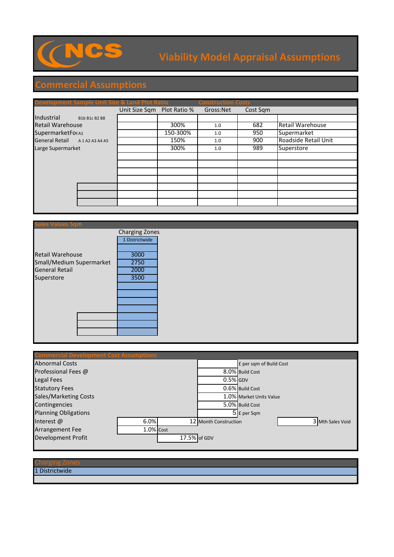

## **Viability Model Appraisal Assumptions**

## **Commercial Assumptions**

| <b>Development Sample Unit Size &amp; Land Plot Ratio</b> |                     |                            |          | <b>Construction Costs</b> |          |                         |
|-----------------------------------------------------------|---------------------|----------------------------|----------|---------------------------|----------|-------------------------|
|                                                           |                     | Unit Size Sqm Plot Ratio % |          | Gross:Net                 | Cost Sqm |                         |
| Industrial                                                | B1b B1c B2 B8       |                            |          |                           |          |                         |
| <b>Retail Warehouse</b>                                   |                     |                            | 300%     | 1.0                       | 682      | <b>Retail Warehouse</b> |
| SupermarketFo(A1                                          |                     |                            | 150-300% | 1.0                       | 950      | Supermarket             |
| <b>General Retail</b>                                     | A 1 A 2 A 3 A 4 A 5 |                            | 150%     | 1.0                       | 900      | Roadside Retail Unit    |
| Large Supermarket                                         |                     |                            | 300%     | 1.0                       | 989      | Superstore              |
|                                                           |                     |                            |          |                           |          |                         |
|                                                           |                     |                            |          |                           |          |                         |
|                                                           |                     |                            |          |                           |          |                         |
|                                                           |                     |                            |          |                           |          |                         |
|                                                           |                     |                            |          |                           |          |                         |
|                                                           |                     |                            |          |                           |          |                         |
|                                                           |                     |                            |          |                           |          |                         |
|                                                           |                     |                            |          |                           |          |                         |

|                          | <b>Charging Zones</b> |  |
|--------------------------|-----------------------|--|
|                          | 1 Districtwide        |  |
|                          |                       |  |
| <b>Retail Warehouse</b>  | 3000                  |  |
| Small/Medium Supermarket | 2750                  |  |
| <b>General Retail</b>    | 2000                  |  |
| Superstore               | 3500                  |  |
|                          |                       |  |
|                          |                       |  |
|                          |                       |  |
|                          |                       |  |
|                          |                       |  |
|                          |                       |  |
|                          |                       |  |
|                          |                       |  |

| <b>Commercial Development Cost Assumptions</b> |              |  |                       |                         |  |                  |
|------------------------------------------------|--------------|--|-----------------------|-------------------------|--|------------------|
| <b>Abnormal Costs</b>                          |              |  |                       | £ per sqm of Build Cost |  |                  |
| Professional Fees @                            |              |  |                       | 8.0% Build Cost         |  |                  |
| Legal Fees                                     |              |  | $0.5\%$ GDV           |                         |  |                  |
| <b>Statutory Fees</b>                          |              |  |                       | 0.6% Build Cost         |  |                  |
| Sales/Marketing Costs                          |              |  |                       | 1.0% Market Units Value |  |                  |
| Contingencies                                  |              |  |                       | 5.0% Build Cost         |  |                  |
| <b>Planning Obligations</b>                    |              |  |                       | $5$ $E$ per Sqm         |  |                  |
| Interest $@$                                   | 6.0%         |  | 12 Month Construction |                         |  | 3 Mth Sales Void |
| <b>Arrangement Fee</b>                         | $1.0\%$ Cost |  |                       |                         |  |                  |
| <b>Development Profit</b>                      |              |  | 17.5% of GDV          |                         |  |                  |
|                                                |              |  |                       |                         |  |                  |

## Charging Zones

1 Districtwide